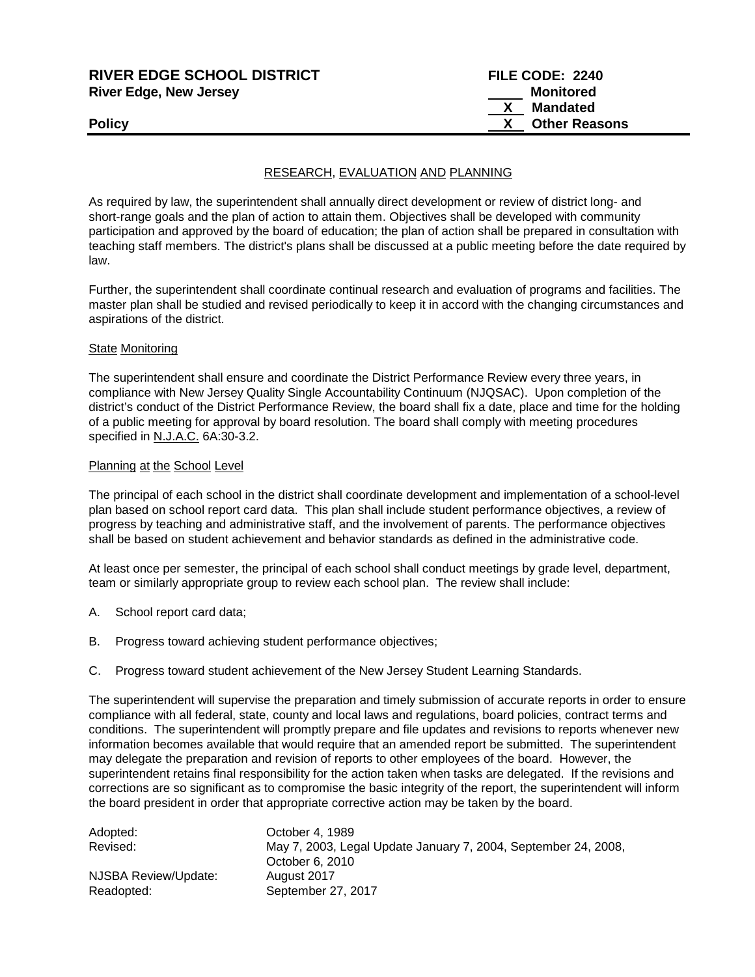| <b>RIVER EDGE SCHOOL DISTRICT</b><br><b>River Edge, New Jersey</b> | FILE CODE: 2240<br>Monitored |
|--------------------------------------------------------------------|------------------------------|
|                                                                    | <b>Mandated</b>              |
| <b>Policy</b>                                                      | <b>Other Reasons</b>         |
|                                                                    |                              |

## RESEARCH, EVALUATION AND PLANNING

As required by law, the superintendent shall annually direct development or review of district long- and short-range goals and the plan of action to attain them. Objectives shall be developed with community participation and approved by the board of education; the plan of action shall be prepared in consultation with teaching staff members. The district's plans shall be discussed at a public meeting before the date required by law.

Further, the superintendent shall coordinate continual research and evaluation of programs and facilities. The master plan shall be studied and revised periodically to keep it in accord with the changing circumstances and aspirations of the district.

#### State Monitoring

The superintendent shall ensure and coordinate the District Performance Review every three years, in compliance with New Jersey Quality Single Accountability Continuum (NJQSAC). Upon completion of the district's conduct of the District Performance Review, the board shall fix a date, place and time for the holding of a public meeting for approval by board resolution. The board shall comply with meeting procedures specified in N.J.A.C. 6A:30-3.2.

#### Planning at the School Level

The principal of each school in the district shall coordinate development and implementation of a school-level plan based on school report card data. This plan shall include student performance objectives, a review of progress by teaching and administrative staff, and the involvement of parents. The performance objectives shall be based on student achievement and behavior standards as defined in the administrative code.

At least once per semester, the principal of each school shall conduct meetings by grade level, department, team or similarly appropriate group to review each school plan. The review shall include:

- A. School report card data;
- B. Progress toward achieving student performance objectives;
- C. Progress toward student achievement of the New Jersey Student Learning Standards.

The superintendent will supervise the preparation and timely submission of accurate reports in order to ensure compliance with all federal, state, county and local laws and regulations, board policies, contract terms and conditions. The superintendent will promptly prepare and file updates and revisions to reports whenever new information becomes available that would require that an amended report be submitted. The superintendent may delegate the preparation and revision of reports to other employees of the board. However, the superintendent retains final responsibility for the action taken when tasks are delegated. If the revisions and corrections are so significant as to compromise the basic integrity of the report, the superintendent will inform the board president in order that appropriate corrective action may be taken by the board.

| Adopted:             | October 4, 1989                                                |
|----------------------|----------------------------------------------------------------|
| Revised:             | May 7, 2003, Legal Update January 7, 2004, September 24, 2008, |
|                      | October 6, 2010                                                |
| NJSBA Review/Update: | August 2017                                                    |
| Readopted:           | September 27, 2017                                             |